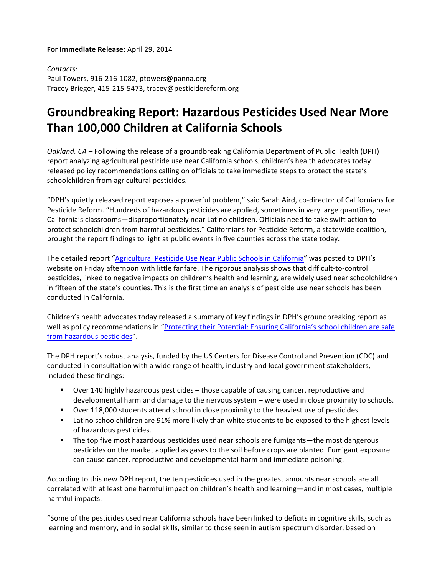## **For Immediate Release:** April 29, 2014

*Contacts:* Paul Towers, 916-216-1082, ptowers@panna.org Tracey Brieger, 415-215-5473, tracey@pesticidereform.org

## **Groundbreaking Report: Hazardous Pesticides Used Near More Than 100,000 Children at California Schools**

Oakland, CA – Following the release of a groundbreaking California Department of Public Health (DPH) report analyzing agricultural pesticide use near California schools, children's health advocates today released policy recommendations calling on officials to take immediate steps to protect the state's schoolchildren from agricultural pesticides.

"DPH's quietly released report exposes a powerful problem," said Sarah Aird, co-director of Californians for Pesticide Reform. "Hundreds of hazardous pesticides are applied, sometimes in very large quantifies, near California's classrooms—disproportionately near Latino children. Officials need to take swift action to protect schoolchildren from harmful pesticides." Californians for Pesticide Reform, a statewide coalition, brought the report findings to light at public events in five counties across the state today.

The detailed report "Agricultural Pesticide Use Near Public Schools in California" was posted to DPH's website on Friday afternoon with little fanfare. The rigorous analysis shows that difficult-to-control pesticides, linked to negative impacts on children's health and learning, are widely used near schoolchildren in fifteen of the state's counties. This is the first time an analysis of pesticide use near schools has been conducted in California.

Children's health advocates today released a summary of key findings in DPH's groundbreaking report as well as policy recommendations in "Protecting their Potential: Ensuring California's school children are safe from hazardous pesticides".

The DPH report's robust analysis, funded by the US Centers for Disease Control and Prevention (CDC) and conducted in consultation with a wide range of health, industry and local government stakeholders, included these findings:

- Over 140 highly hazardous pesticides those capable of causing cancer, reproductive and developmental harm and damage to the nervous system – were used in close proximity to schools.
- Over 118,000 students attend school in close proximity to the heaviest use of pesticides.
- Latino schoolchildren are 91% more likely than white students to be exposed to the highest levels of hazardous pesticides.
- The top five most hazardous pesticides used near schools are fumigants—the most dangerous pesticides on the market applied as gases to the soil before crops are planted. Fumigant exposure can cause cancer, reproductive and developmental harm and immediate poisoning.

According to this new DPH report, the ten pesticides used in the greatest amounts near schools are all correlated with at least one harmful impact on children's health and learning—and in most cases, multiple harmful impacts.

"Some of the pesticides used near California schools have been linked to deficits in cognitive skills, such as learning and memory, and in social skills, similar to those seen in autism spectrum disorder, based on